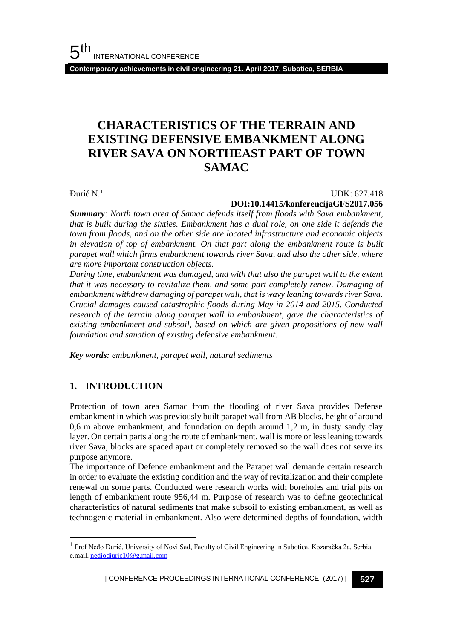**Contemporary achievements in civil engineering 21. April 2017. Subotica, SERBIA**

# **CHARACTERISTICS OF THE TERRAIN AND EXISTING DEFENSIVE EMBANKMENT ALONG RIVER SAVA ON NORTHEAST PART OF TOWN SAMAC**

Đurić N.<sup>1</sup>

#### UDK: 627.418 **DOI:10.14415/konferencijaGFS2017.056**

*Summary: North town area of Samac defends itself from floods with Sava embankment, that is built during the sixties. Embankment has a dual role, on one side it defends the town from floods, and on the other side are located infrastructure and economic objects in elevation of top of embankment. On that part along the embankment route is built parapet wall which firms embankment towards river Sava, and also the other side, where are more important construction objects.*

*During time, embankment was damaged, and with that also the parapet wall to the extent that it was necessary to revitalize them, and some part completely renew. Damaging of embankment withdrew damaging of parapet wall, that is wavy leaning towards river Sava. Crucial damages caused catastrophic floods during May in 2014 and 2015. Conducted research of the terrain along parapet wall in embankment, gave the characteristics of existing embankment and subsoil, based on which are given propositions of new wall foundation and sanation of existing defensive embankment.* 

*Key words: embankment, parapet wall, natural sediments*

### **1. INTRODUCTION**

l

Protection of town area Samac from the flooding of river Sava provides Defense embankment in which was previously built parapet wall from AB blocks, height of around 0,6 m above embankment, and foundation on depth around 1,2 m, in dusty sandy clay layer. On certain parts along the route of embankment, wall is more or less leaning towards river Sava, blocks are spaced apart or completely removed so the wall does not serve its purpose anymore.

The importance of Defence embankment and the Parapet wall demande certain research in order to evaluate the existing condition and the way of revitalization and their complete renewal on some parts. Conducted were research works with boreholes and trial pits on length of embankment route 956,44 m. Purpose of research was to define geotechnical characteristics of natural sediments that make subsoil to existing embankment, as well as technogenic material in embankment. Also were determined depths of foundation, width

<sup>&</sup>lt;sup>1</sup> Prof Neđo Đurić, University of Novi Sad, Faculty of Civil Engineering in Subotica, Kozaračka 2a, Serbia. e.mail[. nedjodjuric10@g.mail.com](mailto:nedjodjuric10@g.mail.com)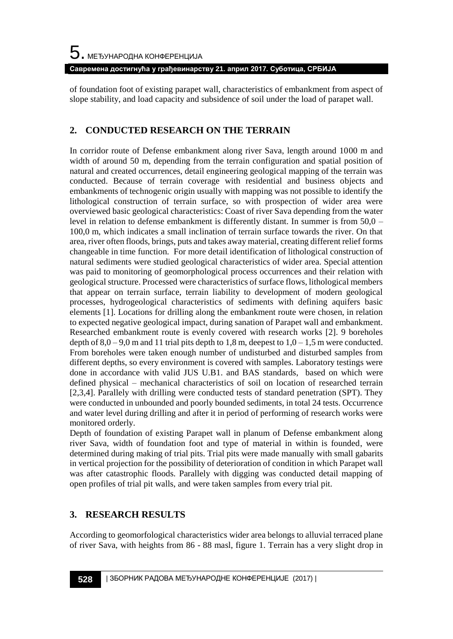**Савремена достигнућа у грађевинарству 21. април 2017. Суботица, СРБИЈА**

of foundation foot of existing parapet wall, characteristics of embankment from aspect of slope stability, and load capacity and subsidence of soil under the load of parapet wall.

## **2. CONDUCTED RESEARCH ON THE TERRAIN**

In corridor route of Defense embankment along river Sava, length around 1000 m and width of around 50 m, depending from the terrain configuration and spatial position of natural and created occurrences, detail engineering geological mapping of the terrain was conducted. Because of terrain coverage with residential and business objects and embankments of technogenic origin usually with mapping was not possible to identify the lithological construction of terrain surface, so with prospection of wider area were overviewed basic geological characteristics: Coast of river Sava depending from the water level in relation to defense embankment is differently distant. In summer is from 50,0 – 100,0 m, which indicates a small inclination of terrain surface towards the river. On that area, river often floods, brings, puts and takes away material, creating different relief forms changeable in time function. For more detail identification of lithological construction of natural sediments were studied geological characteristics of wider area. Special attention was paid to monitoring of geomorphological process occurrences and their relation with geological structure. Processed were characteristics of surface flows, lithological members that appear on terrain surface, terrain liability to development of modern geological processes, hydrogeological characteristics of sediments with defining aquifers basic elements [1]. Locations for drilling along the embankment route were chosen, in relation to expected negative geological impact, during sanation of Parapet wall and embankment. Researched embankment route is evenly covered with research works [2]. 9 boreholes depth of  $8,0 - 9,0$  m and 11 trial pits depth to 1,8 m, deepest to  $1,0 - 1,5$  m were conducted. From boreholes were taken enough number of undisturbed and disturbed samples from different depths, so every environment is covered with samples. Laboratory testings were done in accordance with valid JUS U.B1. and BAS standards, based on which were defined physical – mechanical characteristics of soil on location of researched terrain [2,3,4]. Parallely with drilling were conducted tests of standard penetration (SPT). They were conducted in unbounded and poorly bounded sediments, in total 24 tests. Occurrence and water level during drilling and after it in period of performing of research works were monitored orderly.

Depth of foundation of existing Parapet wall in planum of Defense embankment along river Sava, width of foundation foot and type of material in within is founded, were determined during making of trial pits. Trial pits were made manually with small gabarits in vertical projection for the possibility of deterioration of condition in which Parapet wall was after catastrophic floods. Parallely with digging was conducted detail mapping of open profiles of trial pit walls, and were taken samples from every trial pit.

# **3. RESEARCH RESULTS**

According to geomorfological characteristics wider area belongs to alluvial terraced plane of river Sava, with heights from 86 - 88 masl, figure 1. Terrain has a very slight drop in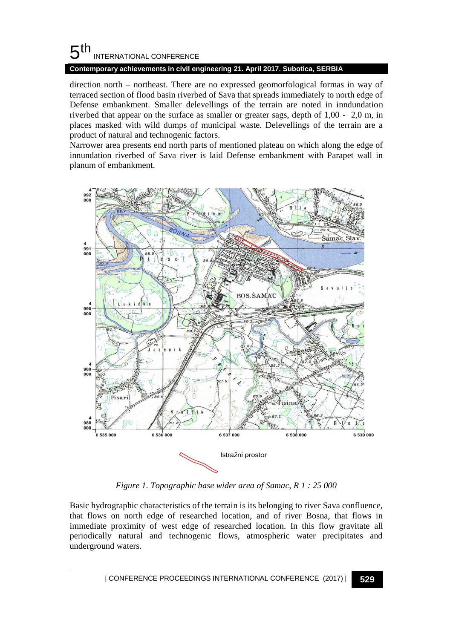# $5<sup>th</sup>$ INTERNATIONAL CONFERENCE

#### **Contemporary achievements in civil engineering 21. April 2017. Subotica, SERBIA**

direction north – northeast. There are no expressed geomorfological formas in way of terraced section of flood basin riverbed of Sava that spreads immediately to north edge of Defense embankment. Smaller delevellings of the terrain are noted in inndundation riverbed that appear on the surface as smaller or greater sags, depth of 1,00 - 2,0 m, in places masked with wild dumps of municipal waste. Delevellings of the terrain are a product of natural and technogenic factors.

Narrower area presents end north parts of mentioned plateau on which along the edge of innundation riverbed of Sava river is laid Defense embankment with Parapet wall in planum of embankment.



*Figure 1. Topographic base wider area of Samac, R 1 : 25 000*

Basic hydrographic characteristics of the terrain is its belonging to river Sava confluence, that flows on north edge of researched location, and of river Bosna, that flows in immediate proximity of west edge of researched location. In this flow gravitate all periodically natural and technogenic flows, atmospheric water precipitates and underground waters.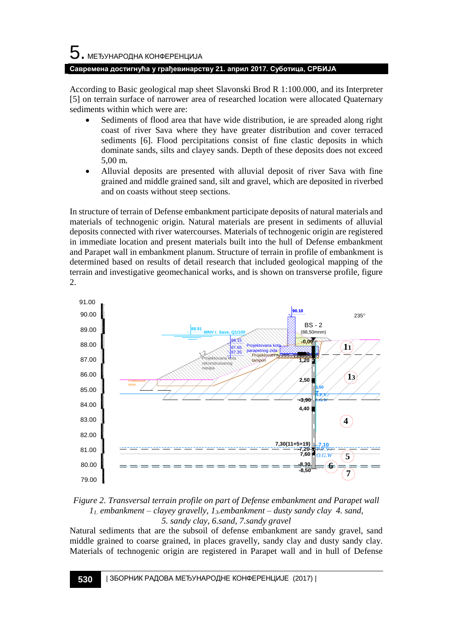According to Basic geological map sheet Slavonski Brod R 1:100.000, and its Interpreter [5] on terrain surface of narrower area of researched location were allocated Quaternary sediments within which were are:

- Sediments of flood area that have wide distribution, ie are spreaded along right coast of river Sava where they have greater distribution and cover terraced sediments [6]. Flood percipitations consist of fine clastic deposits in which dominate sands, silts and clayey sands. Depth of these deposits does not exceed 5,00 m.
- Alluvial deposits are presented with alluvial deposit of river Sava with fine grained and middle grained sand, silt and gravel, which are deposited in riverbed and on coasts without steep sections.

In structure of terrain of Defense embankment participate deposits of natural materials and materials of technogenic origin. Natural materials are present in sediments of alluvial deposits connected with river watercourses. Materials of technogenic origin are registered in immediate location and present materials built into the hull of Defense embankment and Parapet wall in embankment planum. Structure of terrain in profile of embankment is determined based on results of detail research that included geological mapping of the terrain and investigative geomechanical works, and is shown on transverse profile, figure 2.



*Figure 2. Transversal terrain profile on part of Defense embankment and Parapet wall 11. embankment – clayey gravelly, 13.embankment – dusty sandy clay 4. sand, 5. sandy clay, 6.sand, 7.sandy gravel* 

Natural sediments that are the subsoil of defense embankment are sandy gravel, sand middle grained to coarse grained, in places gravelly, sandy clay and dusty sandy clay. Materials of technogenic origin are registered in Parapet wall and in hull of Defense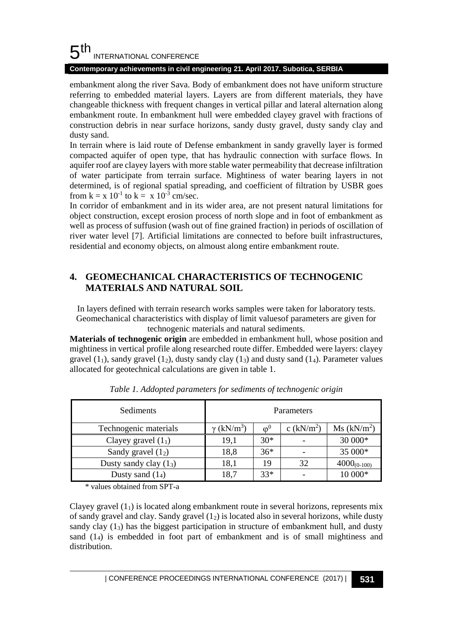#### 5 th INTERNATIONAL CONFERENCE

#### **Contemporary achievements in civil engineering 21. April 2017. Subotica, SERBIA**

embankment along the river Sava. Body of embankment does not have uniform structure referring to embedded material layers. Layers are from different materials, they have changeable thickness with frequent changes in vertical pillar and lateral alternation along embankment route. In embankment hull were embedded clayey gravel with fractions of construction debris in near surface horizons, sandy dusty gravel, dusty sandy clay and dusty sand.

In terrain where is laid route of Defense embankment in sandy gravelly layer is formed compacted aquifer of open type, that has hydraulic connection with surface flows. In aquifer roof are clayey layers with more stable water permeability that decrease infiltration of water participate from terrain surface. Mightiness of water bearing layers in not determined, is of regional spatial spreading, and coefficient of filtration by USBR goes from  $k = x 10^{-1}$  to  $k = x 10^{-3}$  cm/sec.

In corridor of embankment and in its wider area, are not present natural limitations for object construction, except erosion process of north slope and in foot of embankment as well as process of suffusion (wash out of fine grained fraction) in periods of oscillation of river water level [7]. Artificial limitations are connected to before built infrastructures, residential and economy objects, on almoust along entire embankment route.

### **4. GEOMECHANICAL CHARACTERISTICS OF TECHNOGENIC MATERIALS AND NATURAL SOIL**

In layers defined with terrain research works samples were taken for laboratory tests. Geomechanical characteristics with display of limit valuesof parameters are given for technogenic materials and natural sediments.

**Materials of technogenic origin** are embedded in embankment hull, whose position and mightiness in vertical profile along researched route differ. Embedded were layers: clayey gravel  $(1_1)$ , sandy gravel  $(1_2)$ , dusty sandy clay  $(1_3)$  and dusty sand  $(1_4)$ . Parameter values allocated for geotechnical calculations are given in table 1.

| Sediments                | Parameters                    |            |             |                         |  |
|--------------------------|-------------------------------|------------|-------------|-------------------------|--|
| Technogenic materials    | $\gamma$ (kN/m <sup>3</sup> ) | $\omega_0$ | c $(kN/m2)$ | Ms (kN/m <sup>2</sup> ) |  |
| Clayey gravel $(11)$     | 19,1                          | $30*$      |             | 30 000*                 |  |
| Sandy gravel $(12)$      | 18,8                          | $36*$      |             | 35 000*                 |  |
| Dusty sandy clay $(1_3)$ | 18,1                          | 19         | 32          | $4000_{(0-100)}$        |  |
| Dusty sand $(1_4)$       | 18,7                          | $33*$      |             | 10 000*                 |  |

*Table 1. Addopted parameters for sediments of technogenic origin*

\* values obtained from SPT-a

Clayey gravel  $(1<sub>1</sub>)$  is located along embankment route in several horizons, represents mix of sandy gravel and clay. Sandy gravel  $(1<sub>2</sub>)$  is located also in several horizons, while dusty sandy clay  $(1<sub>3</sub>)$  has the biggest participation in structure of embankment hull, and dusty sand (14) is embedded in foot part of embankment and is of small mightiness and distribution.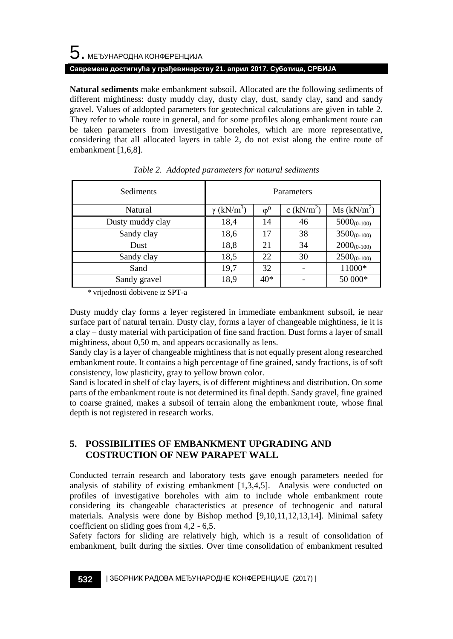# $\mathbf 5$ . међународна конференција **Савремена достигнућа у грађевинарству 21. април 2017. Суботица, СРБИЈА**

**Natural sediments** make embankment subsoil**.** Allocated are the following sediments of different mightiness: dusty muddy clay, dusty clay, dust, sandy clay, sand and sandy gravel. Values of addopted parameters for geotechnical calculations are given in table 2. They refer to whole route in general, and for some profiles along embankment route can be taken parameters from investigative boreholes, which are more representative, considering that all allocated layers in table 2, do not exist along the entire route of embankment [1,6,8].

| Sediments        | Parameters           |            |             |                         |
|------------------|----------------------|------------|-------------|-------------------------|
| Natural          | (kN/m <sup>3</sup> ) | $\omega^0$ | c $(kN/m2)$ | Ms (kN/m <sup>2</sup> ) |
| Dusty muddy clay | 18,4                 | 14         | 46          | $5000_{(0-100)}$        |
| Sandy clay       | 18,6                 | 17         | 38          | $3500_{(0-100)}$        |
| Dust             | 18,8                 | 21         | 34          | $2000_{(0-100)}$        |
| Sandy clay       | 18,5                 | 22         | 30          | $2500_{(0-100)}$        |
| Sand             | 19,7                 | 32         |             | 11000*                  |
| Sandy gravel     | 18,9                 | $40*$      |             | 50 000*                 |

|  | Table 2. Addopted parameters for natural sediments |
|--|----------------------------------------------------|
|--|----------------------------------------------------|

\* vrijednosti dobivene iz SPT-a

Dusty muddy clay forms a leyer registered in immediate embankment subsoil, ie near surface part of natural terrain. Dusty clay, forms a layer of changeable mightiness, ie it is a clay – dusty material with participation of fine sand fraction. Dust forms a layer of small mightiness, about 0,50 m, and appears occasionally as lens.

Sandy clay is a layer of changeable mightiness that is not equally present along researched embankment route. It contains a high percentage of fine grained, sandy fractions, is of soft consistency, low plasticity, gray to yellow brown color.

Sand is located in shelf of clay layers, is of different mightiness and distribution. On some parts of the embankment route is not determined its final depth. Sandy gravel, fine grained to coarse grained, makes a subsoil of terrain along the embankment route, whose final depth is not registered in research works.

### **5. POSSIBILITIES OF EMBANKMENT UPGRADING AND COSTRUCTION OF NEW PARAPET WALL**

Conducted terrain research and laboratory tests gave enough parameters needed for analysis of stability of existing embankment [1,3,4,5]. Analysis were conducted on profiles of investigative boreholes with aim to include whole embankment route considering its changeable characteristics at presence of technogenic and natural materials. Analysis were done by Bishop method [9,10,11,12,13,14]. Minimal safety coefficient on sliding goes from 4,2 - 6,5.

Safety factors for sliding are relatively high, which is a result of consolidation of embankment, built during the sixties. Over time consolidation of embankment resulted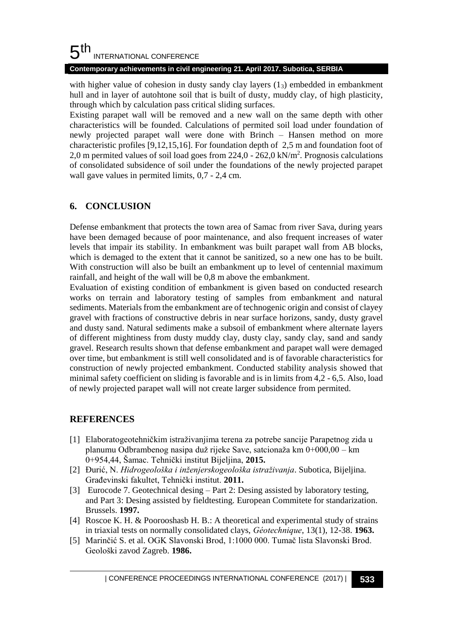#### 5 th INTERNATIONAL CONFERENCE

#### **Contemporary achievements in civil engineering 21. April 2017. Subotica, SERBIA**

with higher value of cohesion in dusty sandy clay layers  $(1<sub>3</sub>)$  embedded in embankment hull and in layer of autohtone soil that is built of dusty, muddy clay, of high plasticity, through which by calculation pass critical sliding surfaces.

Existing parapet wall will be removed and a new wall on the same depth with other characteristics will be founded. Calculations of permited soil load under foundation of newly projected parapet wall were done with Brinch – Hansen method on more characteristic profiles [9,12,15,16]. For foundation depth of 2,5 m and foundation foot of 2,0 m permited values of soil load goes from 224,0 - 262,0 kN/m<sup>2</sup> . Prognosis calculations of consolidated subsidence of soil under the foundations of the newly projected parapet wall gave values in permited limits, 0,7 - 2,4 cm.

## **6. CONCLUSION**

Defense embankment that protects the town area of Samac from river Sava, during years have been demaged because of poor maintenance, and also frequent increases of water levels that impair its stability. In embankment was built parapet wall from AB blocks, which is demaged to the extent that it cannot be sanitized, so a new one has to be built. With construction will also be built an embankment up to level of centennial maximum rainfall, and height of the wall will be 0,8 m above the embankment.

Evaluation of existing condition of embankment is given based on conducted research works on terrain and laboratory testing of samples from embankment and natural sediments. Materials from the embankment are of technogenic origin and consist of clayey gravel with fractions of constructive debris in near surface horizons, sandy, dusty gravel and dusty sand. Natural sediments make a subsoil of embankment where alternate layers of different mightiness from dusty muddy clay, dusty clay, sandy clay, sand and sandy gravel. Research results shown that defense embankment and parapet wall were demaged over time, but embankment is still well consolidated and is of favorable characteristics for construction of newly projected embankment. Conducted stability analysis showed that minimal safety coefficient on sliding is favorable and is in limits from 4,2 - 6,5. Also, load of newly projected parapet wall will not create larger subsidence from permited.

### **REFERENCES**

- [1] Elaboratogeotehničkim istraživanjima terena za potrebe sancije Parapetnog zida u planumu Odbrambenog nasipa duž rijeke Save, satcionaža km 0+000,00 – km 0+954,44, Šamac. Tehnički institut Bijeljina, **2015.**
- [2] Đurić, N. *Hidrogeološka i inženjerskogeološka istraživanja*. Subotica, Bijeljina. Građevinski fakultet, Tehnički institut. **2011.**
- [3] Eurocode 7. Geotechnical desing Part 2: Desing assisted by laboratory testing, and Part 3: Desing assisted by fieldtesting. European Commitete for standarization. Brussels. **1997.**
- [4] Roscoe K. H. & Poorooshasb H. B.: A theoretical and experimental study of strains in triaxial tests on normally consolidated clays, *Géotechnique*, 13(1), 12-38. **1963.**
- [5] Marinčić S. et al. OGK Slavonski Brod, 1:1000 000. Tumač lista Slavonski Brod. Geološki zavod Zagreb. **1986.**